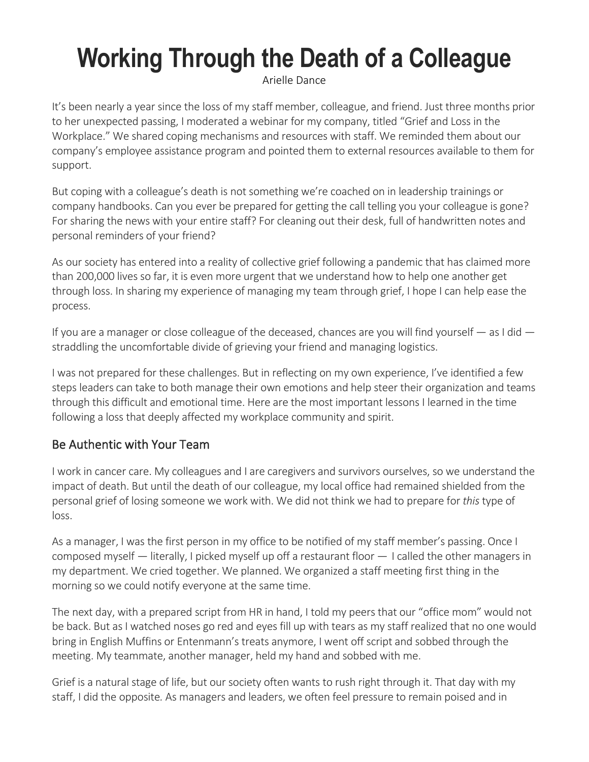# **Working Through the Death of a Colleague**

[Arielle Dance](https://hbr.org/search?term=arielle%20dance)

It's been nearly a year since the loss of my staff member, colleague, and friend. Just three months prior to her unexpected passing, I moderated a webinar for my company, titled "Grief and Loss in the Workplace." We shared coping mechanisms and resources with staff. We reminded them about our company's employee assistance program and pointed them to external resources available to them for support.

But coping with a colleague's death is not something we're coached on in leadership trainings or company handbooks. Can you ever be prepared for getting the call telling you your colleague is gone? For sharing the news with your entire staff? For cleaning out their desk, full of handwritten notes and personal reminders of your friend?

As our society has entered into a reality of collective grief following a pandemic that has claimed more than 200,000 lives so far, it is even more urgent that we understand how to help one another get through loss. In sharing my experience of managing my team through grief, I hope I can help ease the process.

If you are a manager or close colleague of the deceased, chances are you will find yourself — as I did straddling the uncomfortable divide of grieving your friend and managing logistics.

I was not prepared for these challenges. But in reflecting on my own experience, I've identified a few steps leaders can take to both manage their own emotions and help steer their organization and teams through this difficult and emotional time. Here are the most important lessons I learned in the time following a loss that deeply affected my workplace community and spirit.

## Be Authentic with Your Team

I work in cancer care. My colleagues and I are caregivers and survivors ourselves, so we understand the impact of death. But until the death of our colleague, my local office had remained shielded from the personal grief of losing someone we work with. We did not think we had to prepare for *this* type of loss.

As a manager, I was the first person in my office to be notified of my staff member's passing. Once I composed myself — literally, I picked myself up off a restaurant floor — I called the other managers in my department. We cried together. We planned. We organized a staff meeting first thing in the morning so we could notify everyone at the same time.

The next day, with a prepared script from HR in hand, I told my peers that our "office mom" would not be back. But as I watched noses go red and eyes fill up with tears as my staff realized that no one would bring in English Muffins or Entenmann's treats anymore, I went off script and sobbed through the meeting. My teammate, another manager, held my hand and sobbed with me.

Grief is a natural stage of life, but our society often wants to rush right through it. That day with my staff, I did the opposite*.* As managers and leaders, we often feel pressure to remain poised and in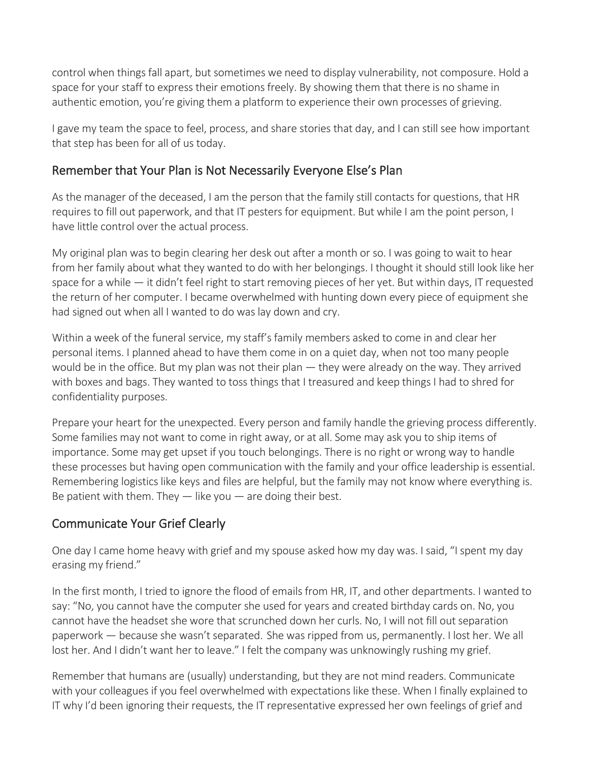control when things fall apart, but sometimes we need to display vulnerability, not composure. Hold a space for your staff to express their emotions freely. By showing them that there is no shame in authentic emotion, you're giving them a platform to experience their own processes of grieving.

I gave my team the space to feel, process, and share stories that day, and I can still see how important that step has been for all of us today.

### Remember that Your Plan is Not Necessarily Everyone Else's Plan

As the manager of the deceased, I am the person that the family still contacts for questions, that HR requires to fill out paperwork, and that IT pesters for equipment. But while I am the point person, I have little control over the actual process.

My original plan was to begin clearing her desk out after a month or so. I was going to wait to hear from her family about what they wanted to do with her belongings. I thought it should still look like her space for a while — it didn't feel right to start removing pieces of her yet. But within days, IT requested the return of her computer. I became overwhelmed with hunting down every piece of equipment she had signed out when all I wanted to do was lay down and cry.

Within a week of the funeral service, my staff's family members asked to come in and clear her personal items. I planned ahead to have them come in on a quiet day, when not too many people would be in the office. But my plan was not their plan — they were already on the way. They arrived with boxes and bags. They wanted to toss things that I treasured and keep things I had to shred for confidentiality purposes.

Prepare your heart for the unexpected. Every person and family handle the grieving process differently. Some families may not want to come in right away, or at all. Some may ask you to ship items of importance. Some may get upset if you touch belongings. There is no right or wrong way to handle these processes but having open communication with the family and your office leadership is essential. Remembering logistics like keys and files are helpful, but the family may not know where everything is. Be patient with them. They  $-$  like you  $-$  are doing their best.

### Communicate Your Grief Clearly

One day I came home heavy with grief and my spouse asked how my day was. I said, "I spent my day erasing my friend."

In the first month, I tried to ignore the flood of emails from HR, IT, and other departments. I wanted to say: "No, you cannot have the computer she used for years and created birthday cards on. No, you cannot have the headset she wore that scrunched down her curls. No, I will not fill outseparation paperwork — because she wasn't separated.  She was ripped from us, permanently. I lost her. We all lost her. And I didn't want her to leave." I felt the company was unknowingly rushing my grief.

Remember that humans are (usually) understanding, but they are not mind readers. Communicate with your colleagues if you feel overwhelmed with expectations like these. When I finally explained to IT why I'd been ignoring their requests, the IT representative expressed her own feelings of grief and